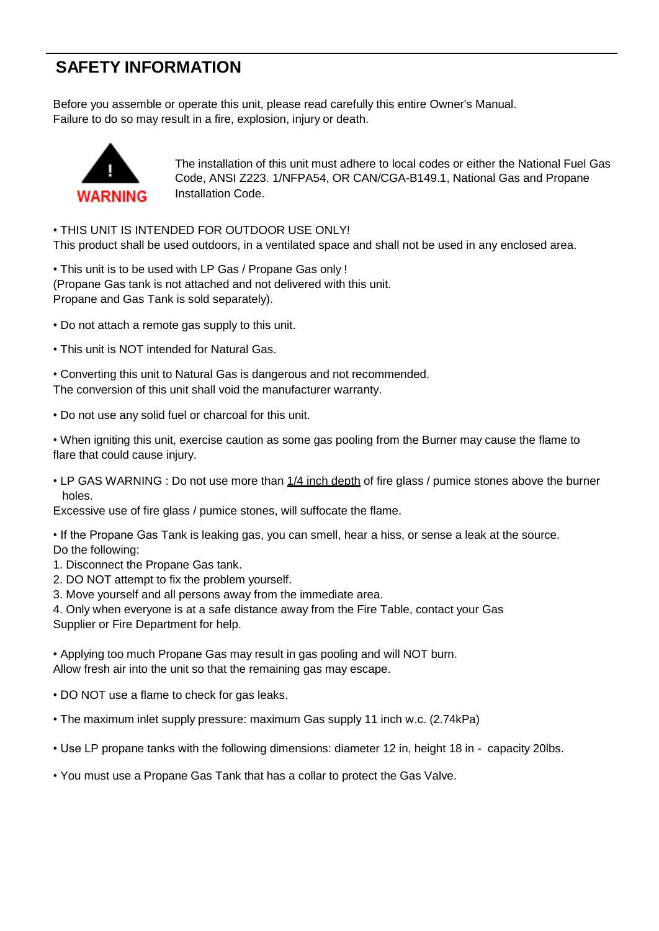## **SAFETY INFORMATION**

Before you assemble or operate this unit, please read carefully this entire Owner's Manual. Failure to do so may result in a fire, explosion, injury or death.



The installation of this unit must adhere to local codes or either the National Fuel Gas Code, ANSI Z223. 1/NFPA54, OR CAN/CGA-B149.1, National Gas and Propane Installation Code.

• THIS UNIT IS INTENDED FOR OUTDOOR USE ONLY! This product shall be used outdoors, in a ventilated space and shall not be used in any enclosed area.

• This unit is to be used with LP Gas / Propane Gas only ! (Propane Gas tank is not attached and not delivered with this unit. Propane and Gas Tank is sold separately).

• Do not attach a remote gas supply to this unit.

• This unit is NOT intended for Natural Gas.

• Converting this unit to Natural Gas is dangerous and not recommended. The conversion of this unit shall void the manufacturer warranty.

• Do not use any solid fuel or charcoal for this unit.

• When igniting this unit, exercise caution as some gas pooling from the Burner may cause the flame to flare that could cause injury.

• LP GAS WARNING : Do not use more than 1/4 inch depth of fire glass / pumice stones above the burner holes.

Excessive use of fire glass / pumice stones, will suffocate the flame.

• If the Propane Gas Tank is leaking gas, you can smell, hear a hiss, or sense a leak at the source. Do the following:

1. Disconnect the Propane Gas tank.

2. DO NOT attempt to fix the problem yourself.

3. Move yourself and all persons away from the immediate area.

4. Only when everyone is at a safe distance away from the Fire Table, contact your Gas Supplier or Fire Department for help.

• Applying too much Propane Gas may result in gas pooling and will NOT burn. Allow fresh air into the unit so that the remaining gas may escape.

• DO NOT use a flame to check for gas leaks.

• The maximum inlet supply pressure: maximum Gas supply 11 inch w.c. (2.74kPa)

• Use LP propane tanks with the following dimensions: diameter 12 in, height 18 in - capacity 20lbs.

• You must use a Propane Gas Tank that has a collar to protect the Gas Valve.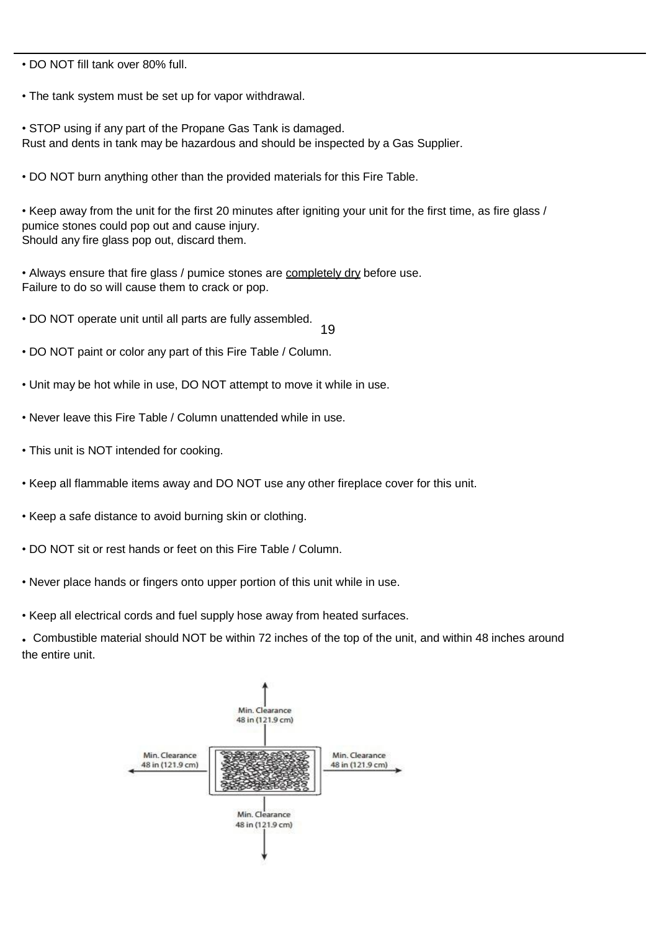• DO NOT fill tank over 80% full.

- The tank system must be set up for vapor withdrawal.
- STOP using if any part of the Propane Gas Tank is damaged. Rust and dents in tank may be hazardous and should be inspected by a Gas Supplier.
- DO NOT burn anything other than the provided materials for this Fire Table.

• Keep away from the unit for the first 20 minutes after igniting your unit for the first time, as fire glass / pumice stones could pop out and cause injury. Should any fire glass pop out, discard them.

• Always ensure that fire glass / pumice stones are completely dry before use. Failure to do so will cause them to crack or pop.

• DO NOT operate unit until all parts are fully assembled.

19

- DO NOT paint or color any part of this Fire Table / Column.
- Unit may be hot while in use, DO NOT attempt to move it while in use.
- Never leave this Fire Table / Column unattended while in use.
- This unit is NOT intended for cooking.
- Keep all flammable items away and DO NOT use any other fireplace cover for this unit.
- Keep a safe distance to avoid burning skin or clothing.
- DO NOT sit or rest hands or feet on this Fire Table / Column.
- Never place hands or fingers onto upper portion of this unit while in use.
- Keep all electrical cords and fuel supply hose away from heated surfaces.

• Combustible material should NOT be within 72 inches of the top of the unit, and within 48 inches around the entire unit.

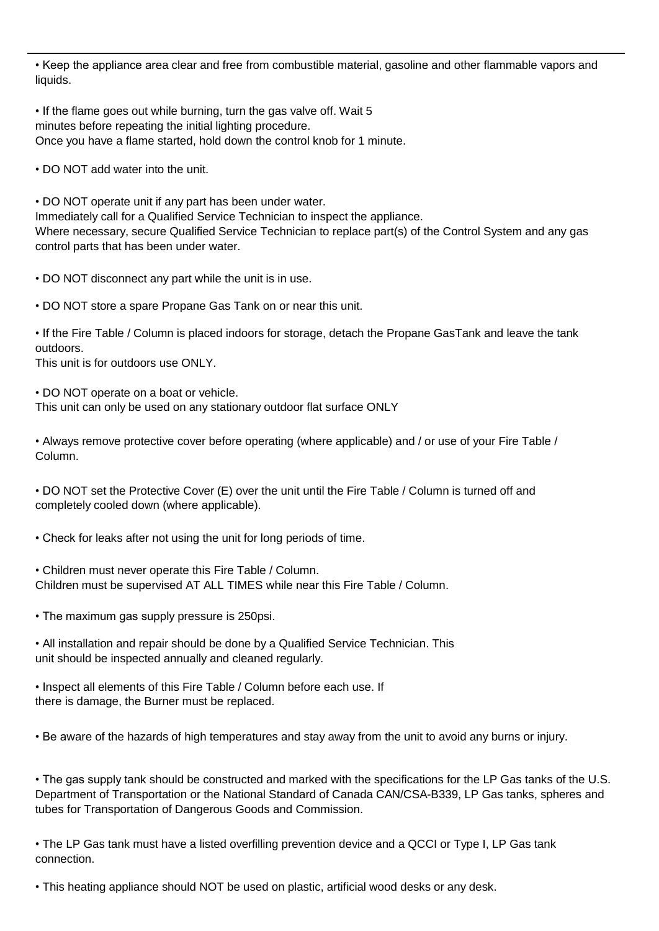• Keep the appliance area clear and free from combustible material, gasoline and other flammable vapors and liquids.

• If the flame goes out while burning, turn the gas valve off. Wait 5 minutes before repeating the initial lighting procedure. Once you have a flame started, hold down the control knob for 1 minute.

• DO NOT add water into the unit.

• DO NOT operate unit if any part has been under water. Immediately call for a Qualified Service Technician to inspect the appliance. Where necessary, secure Qualified Service Technician to replace part(s) of the Control System and any gas control parts that has been under water.

• DO NOT disconnect any part while the unit is in use.

• DO NOT store a spare Propane Gas Tank on or near this unit.

• If the Fire Table / Column is placed indoors for storage, detach the Propane GasTank and leave the tank outdoors.

This unit is for outdoors use ONLY.

• DO NOT operate on a boat or vehicle. This unit can only be used on any stationary outdoor flat surface ONLY

• Always remove protective cover before operating (where applicable) and / or use of your Fire Table / Column.

• DO NOT set the Protective Cover (E) over the unit until the Fire Table / Column is turned off and completely cooled down (where applicable).

• Check for leaks after not using the unit for long periods of time.

• Children must never operate this Fire Table / Column. Children must be supervised AT ALL TIMES while near this Fire Table / Column.

• The maximum gas supply pressure is 250psi.

• All installation and repair should be done by a Qualified Service Technician. This unit should be inspected annually and cleaned regularly.

• Inspect all elements of this Fire Table / Column before each use. If there is damage, the Burner must be replaced.

• Be aware of the hazards of high temperatures and stay away from the unit to avoid any burns or injury.

• The gas supply tank should be constructed and marked with the specifications for the LP Gas tanks of the U.S. Department of Transportation or the National Standard of Canada CAN/CSA-B339, LP Gas tanks, spheres and tubes for Transportation of Dangerous Goods and Commission.

• The LP Gas tank must have a listed overfilling prevention device and a QCCI or Type I, LP Gas tank connection.

• This heating appliance should NOT be used on plastic, artificial wood desks or any desk.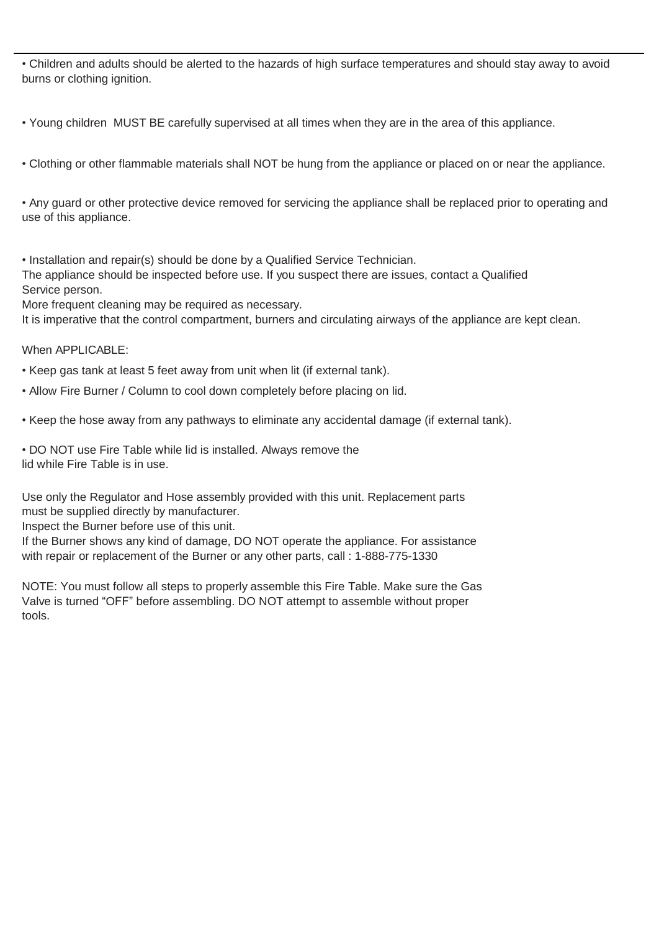• Children and adults should be alerted to the hazards of high surface temperatures and should stay away to avoid burns or clothing ignition.

• Young children MUST BE carefully supervised at all times when they are in the area of this appliance.

• Clothing or other flammable materials shall NOT be hung from the appliance or placed on or near the appliance.

• Any guard or other protective device removed for servicing the appliance shall be replaced prior to operating and use of this appliance.

• Installation and repair(s) should be done by a Qualified Service Technician. The appliance should be inspected before use. If you suspect there are issues, contact a Qualified Service person.

More frequent cleaning may be required as necessary.

It is imperative that the control compartment, burners and circulating airways of the appliance are kept clean.

When APPLICABLE:

• Keep gas tank at least 5 feet away from unit when lit (if external tank).

- Allow Fire Burner / Column to cool down completely before placing on lid.
- Keep the hose away from any pathways to eliminate any accidental damage (if external tank).

• DO NOT use Fire Table while lid is installed. Always remove the lid while Fire Table is in use.

Use only the Regulator and Hose assembly provided with this unit. Replacement parts must be supplied directly by manufacturer.

Inspect the Burner before use of this unit.

If the Burner shows any kind of damage, DO NOT operate the appliance. For assistance with repair or replacement of the Burner or any other parts, call : 1-888-775-1330

NOTE: You must follow all steps to properly assemble this Fire Table. Make sure the Gas Valve is turned "OFF" before assembling. DO NOT attempt to assemble without proper tools.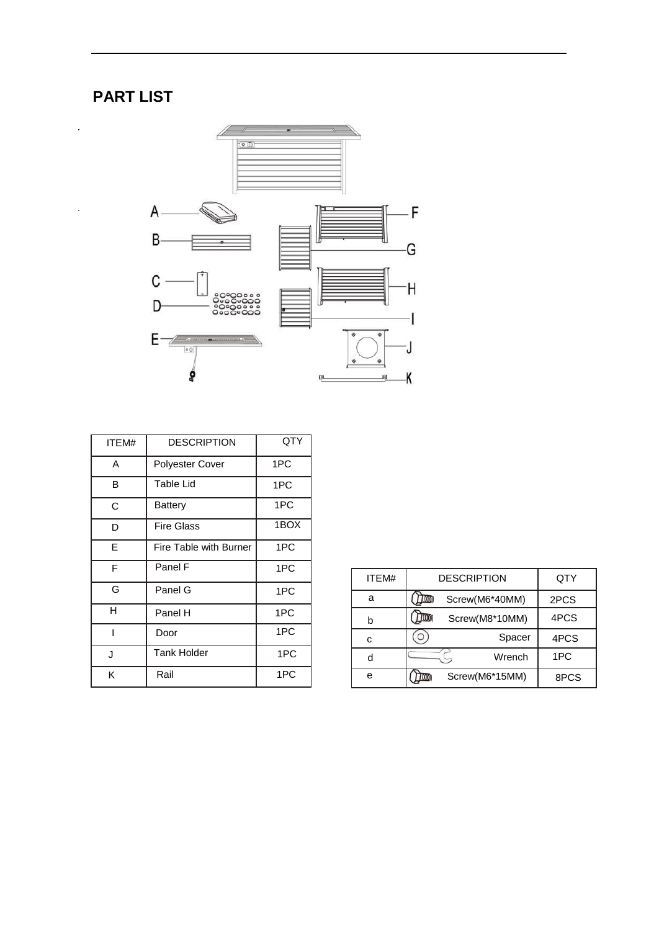# **PART LIST**

 $\bar{z}$ 

 $\bar{\gamma}$ 



| ITEM# | <b>DESCRIPTION</b>     | QTY  |
|-------|------------------------|------|
| A     | <b>Polyester Cover</b> | 1PC  |
| в     | Table Lid              | 1PC  |
| C     | <b>Battery</b>         | 1PC  |
| D     | <b>Fire Glass</b>      | 1BOX |
| E     | Fire Table with Burner | 1PC  |
| F     | Panel F                | 1PC  |
| G     | Panel G                | 1PC  |
| н     | Panel H                | 1PC  |
|       | Door                   | 1PC  |
| J     | <b>Tank Holder</b>     | 1PC  |
| Κ     | Rail                   | 1PC  |

| ITEM# | <b>DESCRIPTION</b>     | QTY  |
|-------|------------------------|------|
| a     | Screw(M6*40MM)<br>1000 | 2PCS |
| b     | Screw(M8*10MM)         | 4PCS |
| c     | Spacer                 | 4PCS |
| d     | Wrench                 | 1PC  |
| e     | Screw(M6*15MM)         | 8PCS |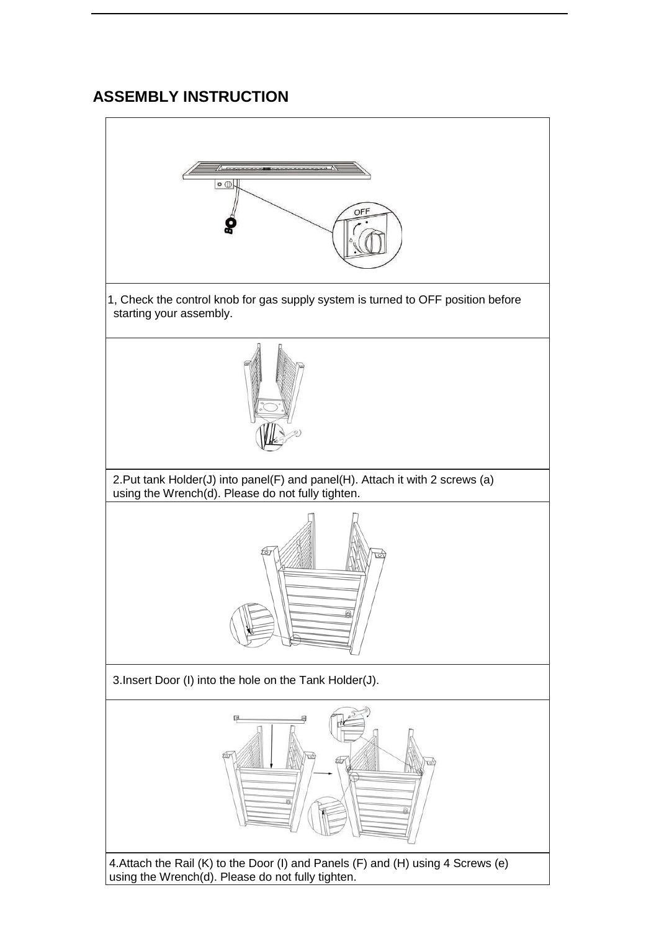## **ASSEMBLY INSTRUCTION**

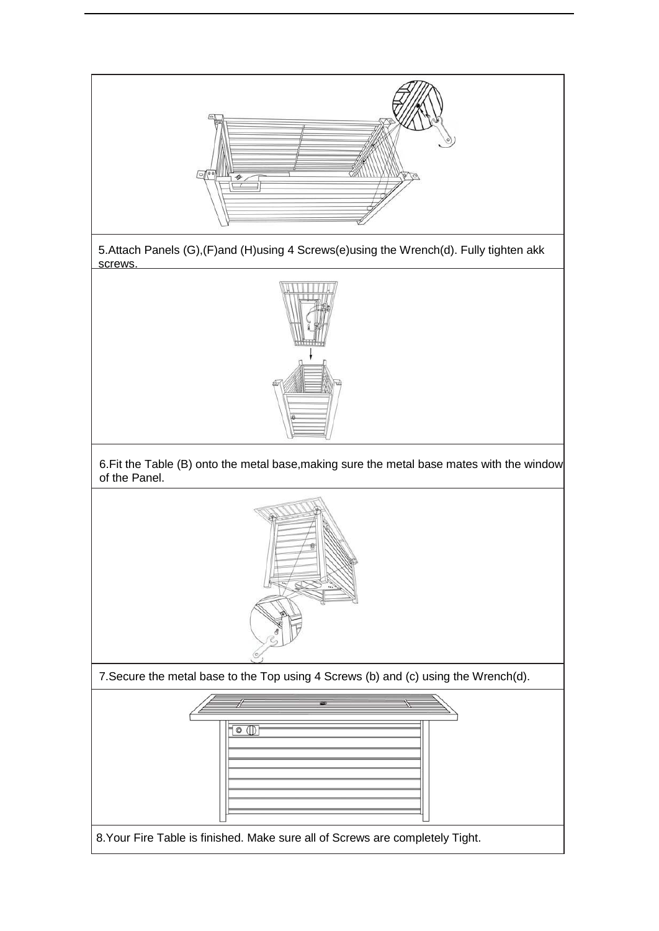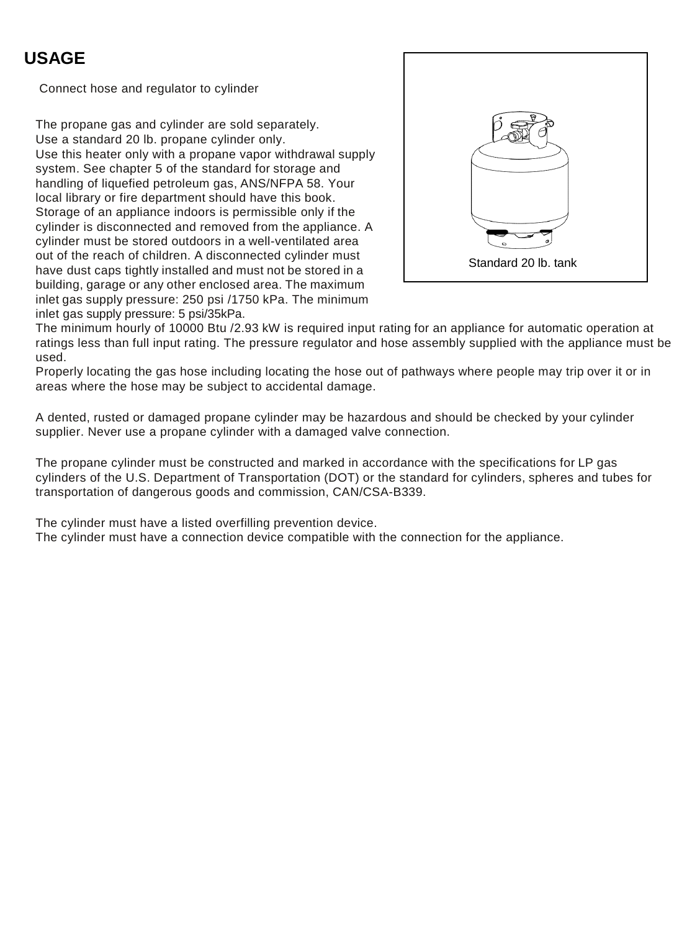## **USAGE**

Connect hose and regulator to cylinder

The propane gas and cylinder are sold separately. Use a standard 20 lb. propane cylinder only. Use this heater only with a propane vapor withdrawal supply system. See chapter 5 of the standard for storage and handling of liquefied petroleum gas, ANS/NFPA 58. Your local library or fire department should have this book. Storage of an appliance indoors is permissible only if the cylinder is disconnected and removed from the appliance. A cylinder must be stored outdoors in a well-ventilated area out of the reach of children. A disconnected cylinder must have dust caps tightly installed and must not be stored in a building, garage or any other enclosed area. The maximum inlet gas supply pressure: 250 psi /1750 kPa. The minimum inlet gas supply pressure: 5 psi/35kPa.



The minimum hourly of 10000 Btu /2.93 kW is required input rating for an appliance for automatic operation at ratings less than full input rating. The pressure regulator and hose assembly supplied with the appliance must be used.

Properly locating the gas hose including locating the hose out of pathways where people may trip over it or in areas where the hose may be subject to accidental damage.

A dented, rusted or damaged propane cylinder may be hazardous and should be checked by your cylinder supplier. Never use a propane cylinder with a damaged valve connection.

The propane cylinder must be constructed and marked in accordance with the specifications for LP gas cylinders of the U.S. Department of Transportation (DOT) or the standard for cylinders, spheres and tubes for transportation of dangerous goods and commission, CAN/CSA-B339.

The cylinder must have a listed overfilling prevention device.

The cylinder must have a connection device compatible with the connection for the appliance.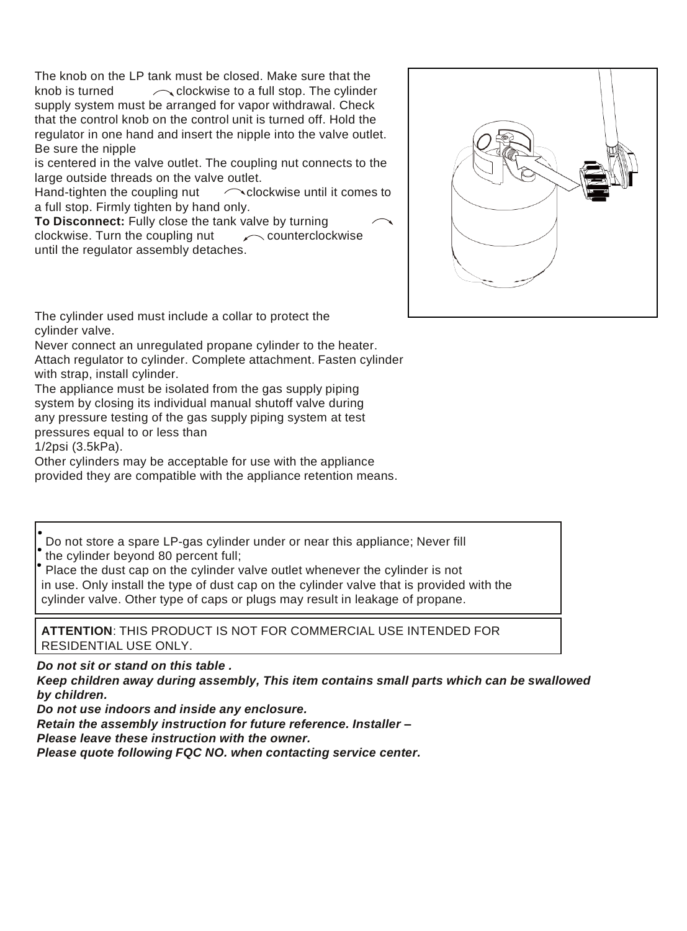The knob on the LP tank must be closed. Make sure that the knob is turned  $\sim$  clockwise to a full stop. The cylinder supply system must be arranged for vapor withdrawal. Check that the control knob on the control unit is turned off. Hold the regulator in one hand and insert the nipple into the valve outlet. Be sure the nipple

is centered in the valve outlet. The coupling nut connects to the large outside threads on the valve outlet.

Hand-tighten the coupling nut  $\bigcap$  clockwise until it comes to a full stop. Firmly tighten by hand only.

**To Disconnect:** Fully close the tank valve by turning clockwise. Turn the coupling nut  $\sim$  counterclockwise until the regulator assembly detaches.



The cylinder used must include a collar to protect the cylinder valve.

Never connect an unregulated propane cylinder to the heater. Attach regulator to cylinder. Complete attachment. Fasten cylinder with strap, install cylinder.

The appliance must be isolated from the gas supply piping system by closing its individual manual shutoff valve during any pressure testing of the gas supply piping system at test pressures equal to or less than

1/2psi (3.5kPa).

Other cylinders may be acceptable for use with the appliance provided they are compatible with the appliance retention means.

Do not store a spare LP-gas cylinder under or near this appliance; Never fill the cylinder beyond 80 percent full;

Place the dust cap on the cylinder valve outlet whenever the cylinder is not in use. Only install the type of dust cap on the cylinder valve that is provided with the cylinder valve. Other type of caps or plugs may result in leakage of propane.

**ATTENTION**: THIS PRODUCT IS NOT FOR COMMERCIAL USE INTENDED FOR RESIDENTIAL USE ONLY.

*Do not sit or stand on this table .*

*Keep children away during assembly, This item contains small parts which can be swallowed by children.*

*Do not use indoors and inside any enclosure.*

*Retain the assembly instruction for future reference. Installer –*

*Please leave these instruction with the owner.*

*Please quote following FQC NO. when contacting service center.*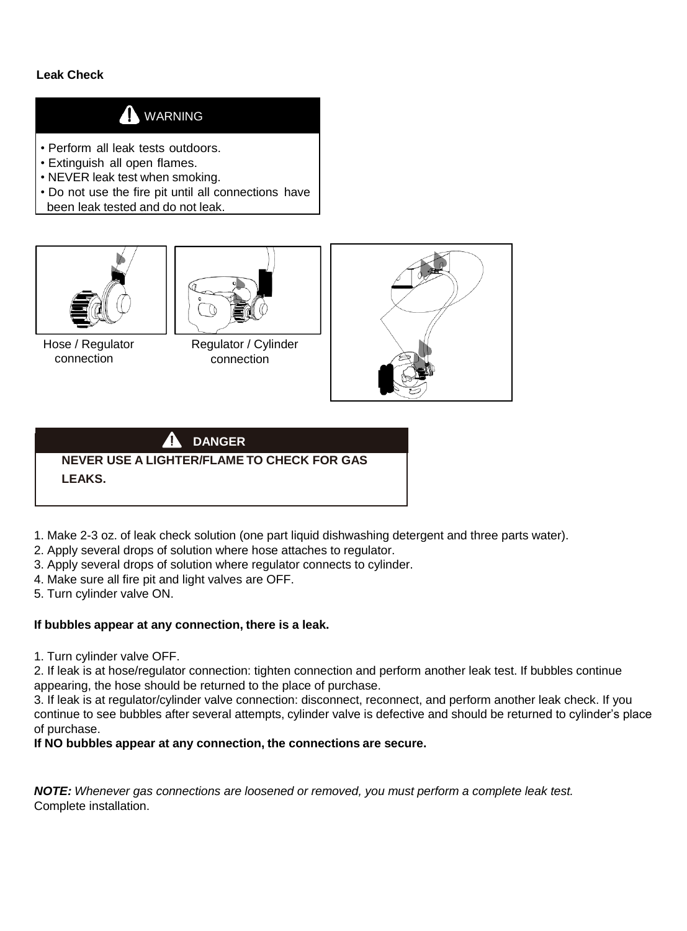#### **Leak Check**

## **A** WARNING

- Perform all leak tests outdoors.
- Extinguish all open flames.
- NEVER leak test when smoking.
- Do not use the fire pit until all connections have been leak tested and do not leak.



Hose / Regulator connection



Regulator / Cylinder connection



## **DANGER NEVER USE A LIGHTER/FLAME TO CHECK FOR GAS LEAKS.**

- 1. Make 2-3 oz. of leak check solution (one part liquid dishwashing detergent and three parts water).
- 2. Apply several drops of solution where hose attaches to regulator.
- 3. Apply several drops of solution where regulator connects to cylinder.
- 4. Make sure all fire pit and light valves are OFF.
- 5. Turn cylinder valve ON.

#### **If bubbles appear at any connection, there is a leak.**

1. Turn cylinder valve OFF.

2. If leak is at hose/regulator connection: tighten connection and perform another leak test. If bubbles continue appearing, the hose should be returned to the place of purchase.

3. If leak is at regulator/cylinder valve connection: disconnect, reconnect, and perform another leak check. If you continue to see bubbles after several attempts, cylinder valve is defective and should be returned to cylinder's place of purchase.

#### **If NO bubbles appear at any connection, the connections are secure.**

*NOTE: Whenever gas connections are loosened or removed, you must perform a complete leak test.* Complete installation.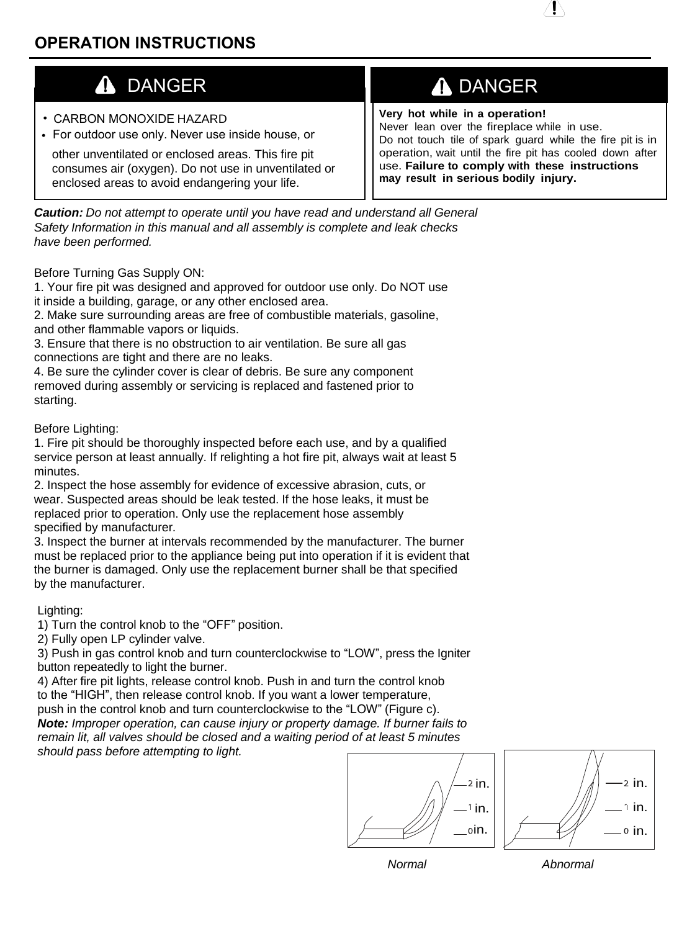- CARBON MONOXIDE HAZARD
- For outdoor use only. Never use inside house, or

other unventilated or enclosed areas. This fire pit consumes air (oxygen). Do not use in unventilated or enclosed areas to avoid endangering your life.

# DANGER **ADANGER**

**Very hot while in a operation!** Never lean over the fireplace while in use. Do not touch tile of spark guard while the fire pit is in operation, wait until the fire pit has cooled down after use. **Failure to comply with these instructions may result in serious bodily injury.**

*Caution: Do not attempt to operate until you have read and understand all General Safety Information in this manual and all assembly is complete and leak checks have been performed.*

Before Turning Gas Supply ON:

1. Your fire pit was designed and approved for outdoor use only. Do NOT use it inside a building, garage, or any other enclosed area.

2. Make sure surrounding areas are free of combustible materials, gasoline, and other flammable vapors or liquids.

3. Ensure that there is no obstruction to air ventilation. Be sure all gas connections are tight and there are no leaks.

4. Be sure the cylinder cover is clear of debris. Be sure any component removed during assembly or servicing is replaced and fastened prior to starting.

#### Before Lighting:

1. Fire pit should be thoroughly inspected before each use, and by a qualified service person at least annually. If relighting a hot fire pit, always wait at least 5 minutes.

2. Inspect the hose assembly for evidence of excessive abrasion, cuts, or wear. Suspected areas should be leak tested. If the hose leaks, it must be replaced prior to operation. Only use the replacement hose assembly specified by manufacturer.

3. Inspect the burner at intervals recommended by the manufacturer. The burner must be replaced prior to the appliance being put into operation if it is evident that the burner is damaged. Only use the replacement burner shall be that specified by the manufacturer.

#### Lighting:

1) Turn the control knob to the "OFF" position.

2) Fully open LP cylinder valve.

3) Push in gas control knob and turn counterclockwise to "LOW", press the Igniter button repeatedly to light the burner.

4) After fire pit lights, release control knob. Push in and turn the control knob to the "HIGH", then release control knob. If you want a lower temperature, push in the control knob and turn counterclockwise to the "LOW" (Figure c). *Note: Improper operation, can cause injury or property damage. If burner fails to*

*remain lit, all valves should be closed and a waiting period of at least 5 minutes should pass before attempting to light.*

 $1$  in. oin. 2 in





*Normal Abnormal*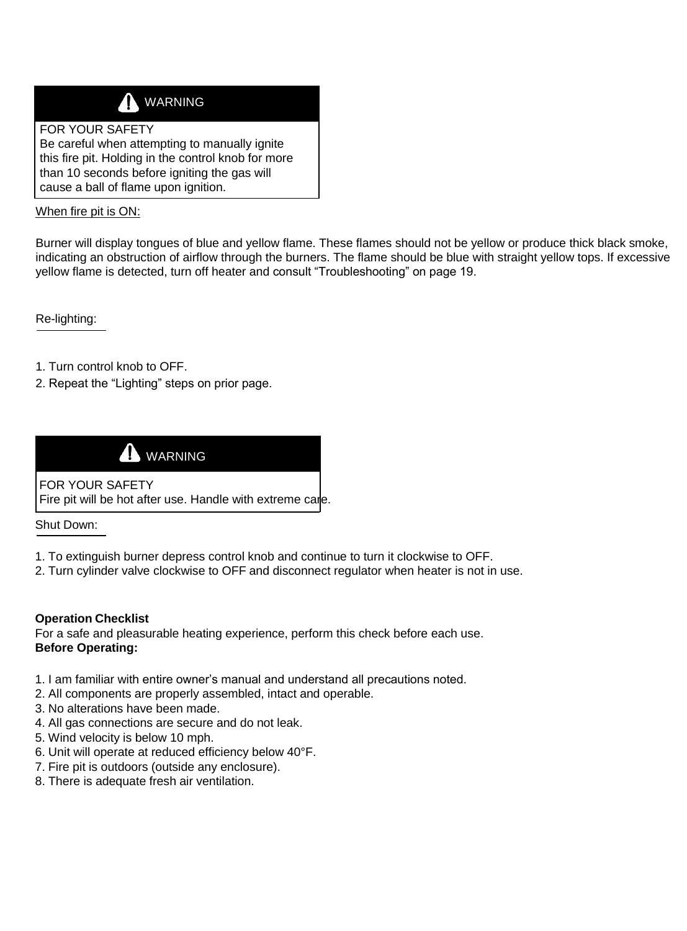

#### FOR YOUR SAFETY

Be careful when attempting to manually ignite this fire pit. Holding in the control knob for more than 10 seconds before igniting the gas will cause a ball of flame upon ignition.

When fire pit is ON:

Burner will display tongues of blue and yellow flame. These flames should not be yellow or produce thick black smoke, indicating an obstruction of airflow through the burners. The flame should be blue with straight yellow tops. If excessive yellow flame is detected, turn off heater and consult "Troubleshooting" on page 19.

Re-lighting:

- 1. Turn control knob to OFF.
- 2. Repeat the "Lighting" steps on prior page.



FOR YOUR SAFETY Fire pit will be hot after use. Handle with extreme care.

Shut Down:

- 1. To extinguish burner depress control knob and continue to turn it clockwise to OFF.
- 2. Turn cylinder valve clockwise to OFF and disconnect regulator when heater is not in use.

#### **Operation Checklist**

For a safe and pleasurable heating experience, perform this check before each use. **Before Operating:**

- 1. I am familiar with entire owner's manual and understand all precautions noted.
- 2. All components are properly assembled, intact and operable.
- 3. No alterations have been made.
- 4. All gas connections are secure and do not leak.
- 5. Wind velocity is below 10 mph.
- 6. Unit will operate at reduced efficiency below 40°F.
- 7. Fire pit is outdoors (outside any enclosure).
- 8. There is adequate fresh air ventilation.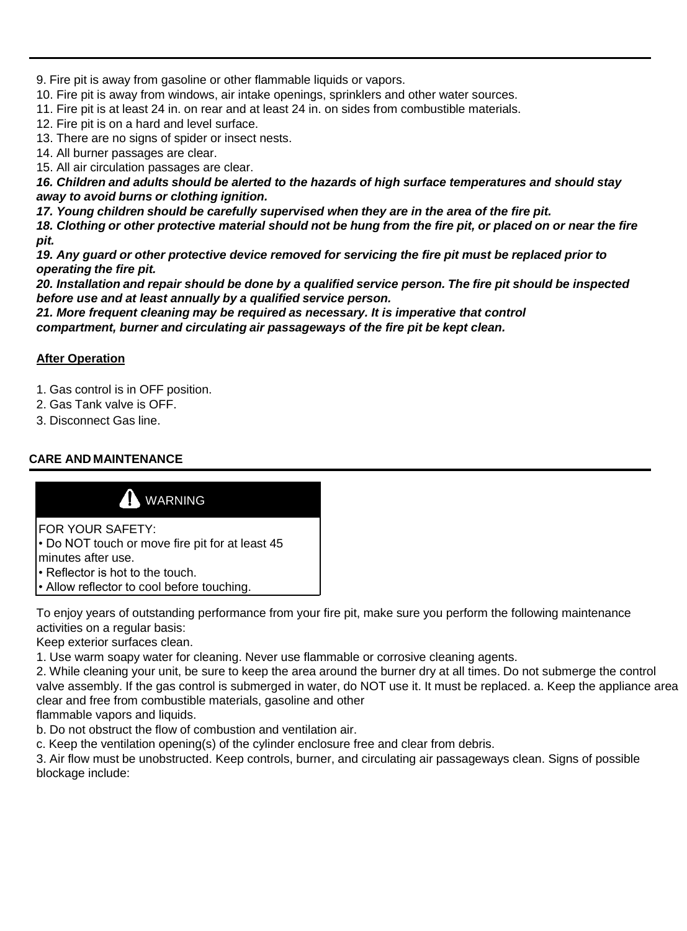9. Fire pit is away from gasoline or other flammable liquids or vapors.

10. Fire pit is away from windows, air intake openings, sprinklers and other water sources.

11. Fire pit is at least 24 in. on rear and at least 24 in. on sides from combustible materials.

12. Fire pit is on a hard and level surface.

13. There are no signs of spider or insect nests.

14. All burner passages are clear.

15. All air circulation passages are clear.

*16. Children and adults should be alerted to the hazards of high surface temperatures and should stay away to avoid burns or clothing ignition.*

*17. Young children should be carefully supervised when they are in the area of the fire pit.*

*18. Clothing or other protective material should not be hung from the fire pit, or placed on or near the fire pit.*

*19. Any guard or other protective device removed for servicing the fire pit must be replaced prior to operating the fire pit.*

*20. Installation and repair should be done by a qualified service person. The fire pit should be inspected before use and at least annually by a qualified service person.*

*21. More frequent cleaning may be required as necessary. It is imperative that control compartment, burner and circulating air passageways of the fire pit be kept clean.*

#### **After Operation**

1. Gas control is in OFF position.

- 2. Gas Tank valve is OFF.
- 3. Disconnect Gas line.

### **CARE AND MAINTENANCE**



To enjoy years of outstanding performance from your fire pit, make sure you perform the following maintenance activities on a regular basis:

Keep exterior surfaces clean.

1. Use warm soapy water for cleaning. Never use flammable or corrosive cleaning agents.

2. While cleaning your unit, be sure to keep the area around the burner dry at all times. Do not submerge the control valve assembly. If the gas control is submerged in water, do NOT use it. It must be replaced. a. Keep the appliance area clear and free from combustible materials, gasoline and other

flammable vapors and liquids.

b. Do not obstruct the flow of combustion and ventilation air.

c. Keep the ventilation opening(s) of the cylinder enclosure free and clear from debris.

3. Air flow must be unobstructed. Keep controls, burner, and circulating air passageways clean. Signs of possible blockage include: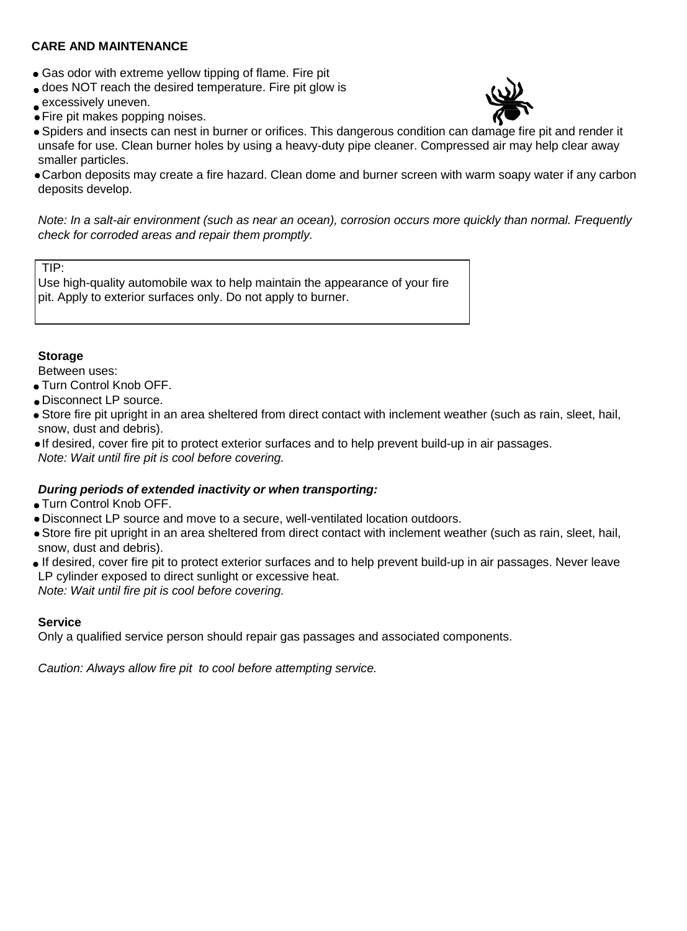#### **CARE AND MAINTENANCE**

- Gas odor with extreme yellow tipping of flame. Fire pit
- does NOT reach the desired temperature. Fire pit glow is
- excessively uneven.
- Fire pit makes popping noises.



- Spiders and insects can nest in burner or orifices. This dangerous condition can damage fire pit and render it unsafe for use. Clean burner holes by using a heavy-duty pipe cleaner. Compressed air may help clear away smaller particles.
- Carbon deposits may create a fire hazard. Clean dome and burner screen with warm soapy water if any carbon deposits develop.

*Note: In a salt-air environment (such as near an ocean), corrosion occurs more quickly than normal. Frequently check for corroded areas and repair them promptly.*

#### TIP:

Use high-quality automobile wax to help maintain the appearance of your fire pit. Apply to exterior surfaces only. Do not apply to burner.

#### **Storage**

Between uses:

- Turn Control Knob OFF.
- Disconnect LP source.
- Store fire pit upright in an area sheltered from direct contact with inclement weather (such as rain, sleet, hail, snow, dust and debris).
- If desired, cover fire pit to protect exterior surfaces and to help prevent build-up in air passages.

*Note: Wait until fire pit is cool before covering.*

#### *During periods of extended inactivity or when transporting:*

- Turn Control Knob OFF.
- Disconnect LP source and move to a secure, well-ventilated location outdoors.

Store fire pit upright in an area sheltered from direct contact with inclement weather (such as rain, sleet, hail, snow, dust and debris).

If desired, cover fire pit to protect exterior surfaces and to help prevent build-up in air passages. Never leave LP cylinder exposed to direct sunlight or excessive heat.

*Note: Wait until fire pit is cool before covering.*

#### **Service**

Only a qualified service person should repair gas passages and associated components.

*Caution: Always allow fire pit to cool before attempting service.*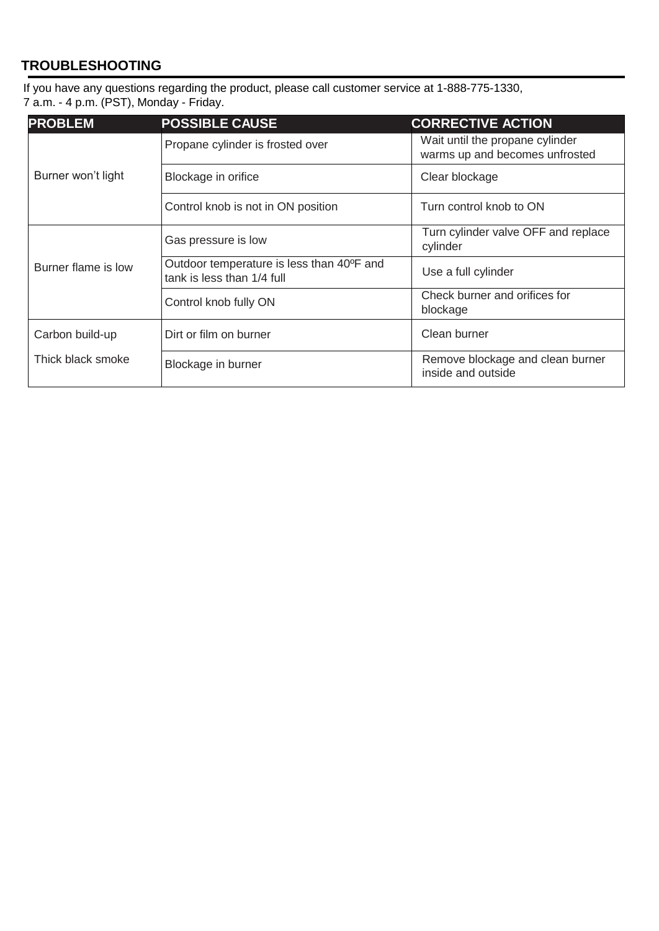## **TROUBLESHOOTING**

If you have any questions regarding the product, please call customer service at 1-888-775-1330, 7 a.m. - 4 p.m. (PST), Monday - Friday.

| <b>PROBLEM</b>                       | <b>POSSIBLE CAUSE</b>                                                   | <b>CORRECTIVE ACTION</b>                                          |
|--------------------------------------|-------------------------------------------------------------------------|-------------------------------------------------------------------|
| Burner won't light                   | Propane cylinder is frosted over                                        | Wait until the propane cylinder<br>warms up and becomes unfrosted |
|                                      | Blockage in orifice                                                     | Clear blockage                                                    |
|                                      | Control knob is not in ON position                                      | Turn control knob to ON                                           |
| Burner flame is low                  | Gas pressure is low                                                     | Turn cylinder valve OFF and replace<br>cylinder                   |
|                                      | Outdoor temperature is less than 40°F and<br>tank is less than 1/4 full | Use a full cylinder                                               |
|                                      | Control knob fully ON                                                   | Check burner and orifices for<br>blockage                         |
| Carbon build-up<br>Thick black smoke | Dirt or film on burner                                                  | Clean burner                                                      |
|                                      | Blockage in burner                                                      | Remove blockage and clean burner<br>inside and outside            |